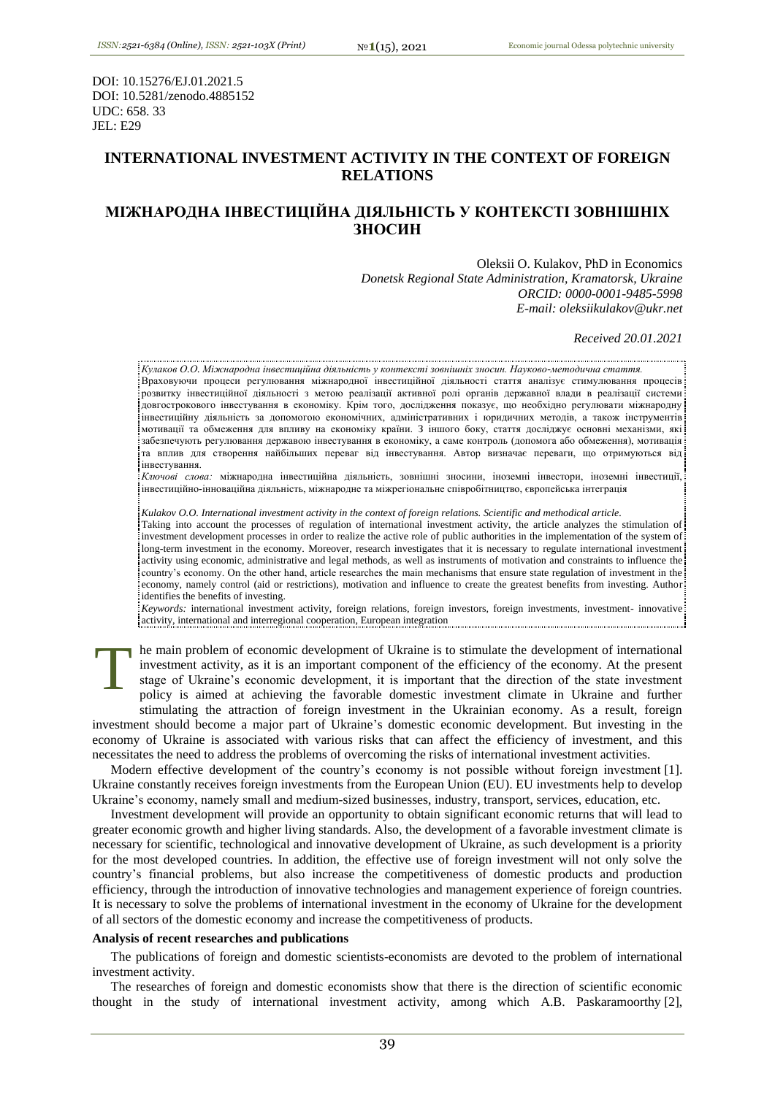DOI: 10.15276/EJ.01.2021.5 DOI: 10.5281/zenodo.4885152 UDC: 658. 33 JEL: E29

# **INTERNATIONAL INVESTMENT ACTIVITY IN THE CONTEXT OF FOREIGN RELATIONS**

# **МІЖНАРОДНА ІНВЕСТИЦІЙНА ДІЯЛЬНІСТЬ У КОНТЕКСТІ ЗОВНІШНІХ ЗНОСИН**

Oleksii O. Kulakov, PhD in Economics *Donetsk Regional State Administration, Kramatorsk, Ukraine ORCID: 0000-0001-9485-5998 E-mail: oleksiikulakov@ukr.net*

*Received 20.01.2021*

*Кулаков О.О. Міжнародна інвестиційна діяльність у контексті зовнішніх зносин. Науково-методична стаття.* Враховуючи процеси регулювання міжнародної інвестиційної діяльності стаття аналізує стимулювання процесів розвитку інвестиційної діяльності з метою реалізації активної ролі органів державної влади в реалізації системи довгострокового інвестування в економіку. Крім того, дослідження показує, що необхідно регулювати міжнародну інвестиційну діяльність за допомогою економічних, адміністративних і юридичних методів, а також інструментів мотивації та обмеження для впливу на економіку країни. З іншого боку, стаття досліджує основні механізми, які забезпечують регулювання державою інвестування в економіку, а саме контроль (допомога або обмеження), мотивація та вплив для створення найбільших переваг від інвестування. Автор визначає переваги, що отримуються від інвестування.

*Ключові слова:* міжнародна інвестиційна діяльність, зовнішні зносини, іноземні інвестори, іноземні інвестиції, інвестиційно-інноваційна діяльність, міжнародне та міжрегіональне співробітництво, європейська інтеграція

*Kulakov O.O. International investment activity in the context of foreign relations. Scientific and methodical article.*

Taking into account the processes of regulation of international investment activity, the article analyzes the stimulation of investment development processes in order to realize the active role of public authorities in the implementation of the system of long-term investment in the economy. Moreover, research investigates that it is necessary to regulate international investment activity using economic, administrative and legal methods, as well as instruments of motivation and constraints to influence the country's economy. On the other hand, article researches the main mechanisms that ensure state regulation of investment in the economy, namely control (aid or restrictions), motivation and influence to create the greatest benefits from investing. Author identifies the benefits of investing.

*Keywords:* international investment activity, foreign relations, foreign investors, foreign investments, investment- innovative: activity, international and interregional cooperation, European integration

he main problem of economic development of Ukraine is to stimulate the development of international investment activity, as it is an important component of the efficiency of the economy. At the present stage of Ukraine's economic development, it is important that the direction of the state investment policy is aimed at achieving the favorable domestic investment climate in Ukraine and further stimulating the attraction of foreign investment in the Ukrainian economy. As a result, foreign T

investment should become a major part of Ukraine's domestic economic development. But investing in the economy of Ukraine is associated with various risks that can affect the efficiency of investment, and this necessitates the need to address the problems of overcoming the risks of international investment activities.

Modern effective development of the country's economy is not possible without foreign investment [1]. Ukraine constantly receives foreign investments from the European Union (EU). EU investments help to develop Ukraine's economy, namely small and medium-sized businesses, industry, transport, services, education, etc.

Investment development will provide an opportunity to obtain significant economic returns that will lead to greater economic growth and higher living standards. Also, the development of a favorable investment climate is necessary for scientific, technological and innovative development of Ukraine, as such development is a priority for the most developed countries. In addition, the effective use of foreign investment will not only solve the country's financial problems, but also increase the competitiveness of domestic products and production efficiency, through the introduction of innovative technologies and management experience of foreign countries. It is necessary to solve the problems of international investment in the economy of Ukraine for the development of all sectors of the domestic economy and increase the competitiveness of products.

#### **Analysis of recent researches and publications**

The publications of foreign and domestic scientists-economists are devoted to the problem of international investment activity.

The researches of foreign and domestic economists show that there is the direction of scientific economic thought in the study of international investment activity, among which A.B. Paskaramoorthy [2],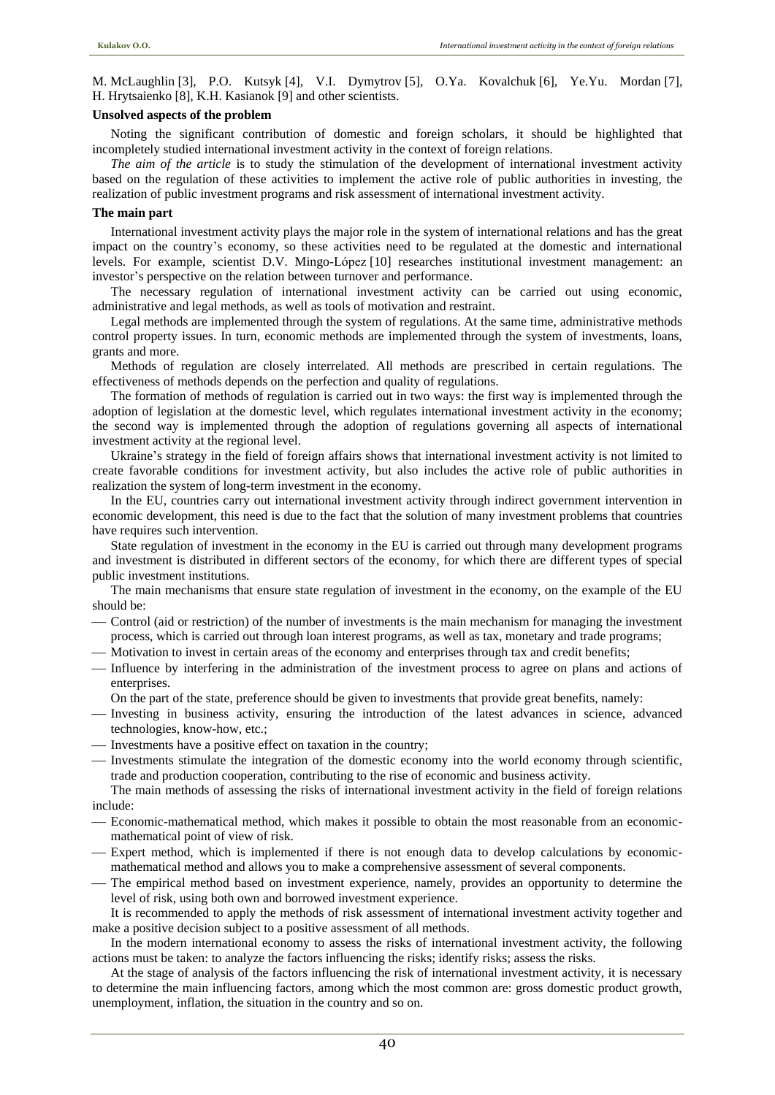M. McLaughlin [3], P.O. Kutsyk [4], V.I. Dymytrov [5], O.Ya. Kovalchuk [6], Ye.Yu. Mordan [7], H. Hrytsaienko [8], K.H. Kasianok [9] and other scientists.

## **Unsolved aspects of the problem**

Noting the significant contribution of domestic and foreign scholars, it should be highlighted that incompletely studied international investment activity in the context of foreign relations.

*The aim of the article* is to study the stimulation of the development of international investment activity based on the regulation of these activities to implement the active role of public authorities in investing, the realization of public investment programs and risk assessment of international investment activity.

## **The main part**

International investment activity plays the major role in the system of international relations and has the great impact on the country's economy, so these activities need to be regulated at the domestic and international levels. For example, scientist D.V. Mingo-López [10] researches institutional investment management: an investor's perspective on the relation between turnover and performance.

The necessary regulation of international investment activity can be carried out using economic, administrative and legal methods, as well as tools of motivation and restraint.

Legal methods are implemented through the system of regulations. At the same time, administrative methods control property issues. In turn, economic methods are implemented through the system of investments, loans, grants and more.

Methods of regulation are closely interrelated. All methods are prescribed in certain regulations. The effectiveness of methods depends on the perfection and quality of regulations.

The formation of methods of regulation is carried out in two ways: the first way is implemented through the adoption of legislation at the domestic level, which regulates international investment activity in the economy; the second way is implemented through the adoption of regulations governing all aspects of international investment activity at the regional level.

Ukraine's strategy in the field of foreign affairs shows that international investment activity is not limited to create favorable conditions for investment activity, but also includes the active role of public authorities in realization the system of long-term investment in the economy.

In the EU, countries carry out international investment activity through indirect government intervention in economic development, this need is due to the fact that the solution of many investment problems that countries have requires such intervention.

State regulation of investment in the economy in the EU is carried out through many development programs and investment is distributed in different sectors of the economy, for which there are different types of special public investment institutions.

The main mechanisms that ensure state regulation of investment in the economy, on the example of the EU should be:

- Control (aid or restriction) of the number of investments is the main mechanism for managing the investment process, which is carried out through loan interest programs, as well as tax, monetary and trade programs;
- Motivation to invest in certain areas of the economy and enterprises through tax and credit benefits;
- Influence by interfering in the administration of the investment process to agree on plans and actions of enterprises.
	- On the part of the state, preference should be given to investments that provide great benefits, namely:
- Investing in business activity, ensuring the introduction of the latest advances in science, advanced technologies, know-how, etc.;
- Investments have a positive effect on taxation in the country;
- Investments stimulate the integration of the domestic economy into the world economy through scientific, trade and production cooperation, contributing to the rise of economic and business activity.

The main methods of assessing the risks of international investment activity in the field of foreign relations include:

- Economic-mathematical method, which makes it possible to obtain the most reasonable from an economicmathematical point of view of risk.
- Expert method, which is implemented if there is not enough data to develop calculations by economicmathematical method and allows you to make a comprehensive assessment of several components.
- The empirical method based on investment experience, namely, provides an opportunity to determine the level of risk, using both own and borrowed investment experience.

It is recommended to apply the methods of risk assessment of international investment activity together and make a positive decision subject to a positive assessment of all methods.

In the modern international economy to assess the risks of international investment activity, the following actions must be taken: to analyze the factors influencing the risks; identify risks; assess the risks.

At the stage of analysis of the factors influencing the risk of international investment activity, it is necessary to determine the main influencing factors, among which the most common are: gross domestic product growth, unemployment, inflation, the situation in the country and so on.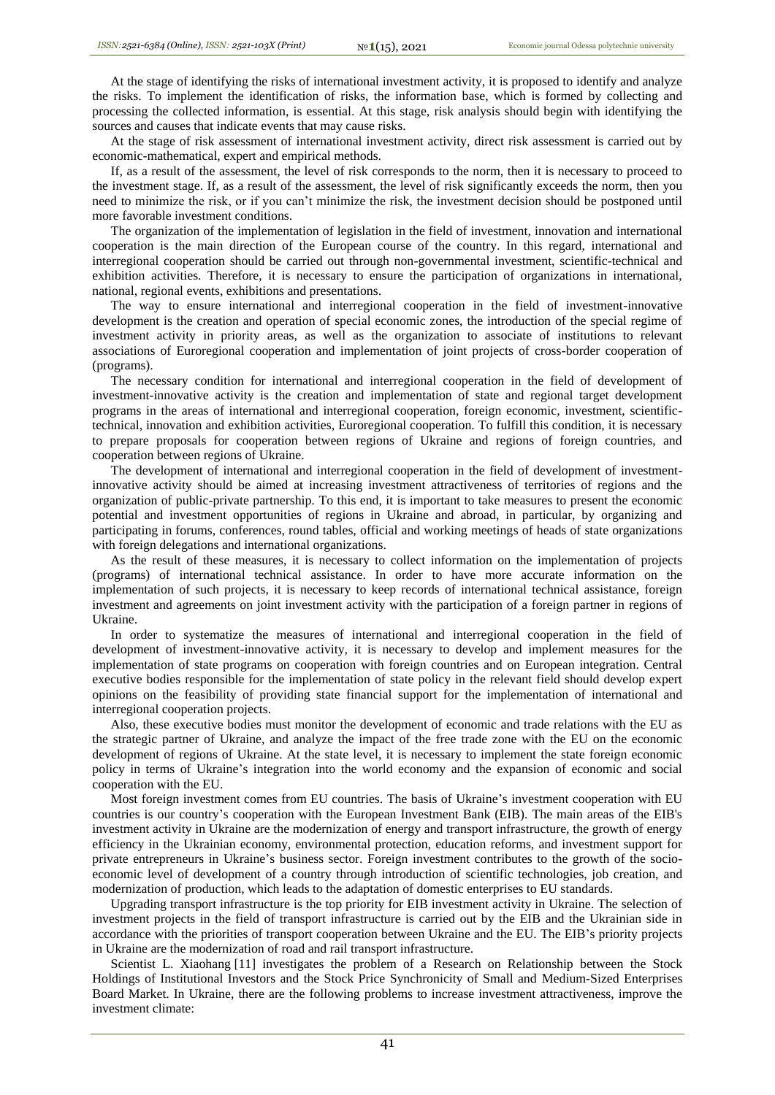At the stage of identifying the risks of international investment activity, it is proposed to identify and analyze the risks. To implement the identification of risks, the information base, which is formed by collecting and processing the collected information, is essential. At this stage, risk analysis should begin with identifying the sources and causes that indicate events that may cause risks.

At the stage of risk assessment of international investment activity, direct risk assessment is carried out by economic-mathematical, expert and empirical methods.

If, as a result of the assessment, the level of risk corresponds to the norm, then it is necessary to proceed to the investment stage. If, as a result of the assessment, the level of risk significantly exceeds the norm, then you need to minimize the risk, or if you can't minimize the risk, the investment decision should be postponed until more favorable investment conditions.

The organization of the implementation of legislation in the field of investment, innovation and international cooperation is the main direction of the European course of the country. In this regard, international and interregional cooperation should be carried out through non-governmental investment, scientific-technical and exhibition activities. Therefore, it is necessary to ensure the participation of organizations in international, national, regional events, exhibitions and presentations.

The way to ensure international and interregional cooperation in the field of investment-innovative development is the creation and operation of special economic zones, the introduction of the special regime of investment activity in priority areas, as well as the organization to associate of institutions to relevant associations of Euroregional cooperation and implementation of joint projects of cross-border cooperation of (programs).

The necessary condition for international and interregional cooperation in the field of development of investment-innovative activity is the creation and implementation of state and regional target development programs in the areas of international and interregional cooperation, foreign economic, investment, scientifictechnical, innovation and exhibition activities, Euroregional cooperation. To fulfill this condition, it is necessary to prepare proposals for cooperation between regions of Ukraine and regions of foreign countries, and cooperation between regions of Ukraine.

The development of international and interregional cooperation in the field of development of investmentinnovative activity should be aimed at increasing investment attractiveness of territories of regions and the organization of public-private partnership. To this end, it is important to take measures to present the economic potential and investment opportunities of regions in Ukraine and abroad, in particular, by organizing and participating in forums, conferences, round tables, official and working meetings of heads of state organizations with foreign delegations and international organizations.

As the result of these measures, it is necessary to collect information on the implementation of projects (programs) of international technical assistance. In order to have more accurate information on the implementation of such projects, it is necessary to keep records of international technical assistance, foreign investment and agreements on joint investment activity with the participation of a foreign partner in regions of Ukraine.

In order to systematize the measures of international and interregional cooperation in the field of development of investment-innovative activity, it is necessary to develop and implement measures for the implementation of state programs on cooperation with foreign countries and on European integration. Central executive bodies responsible for the implementation of state policy in the relevant field should develop expert opinions on the feasibility of providing state financial support for the implementation of international and interregional cooperation projects.

Also, these executive bodies must monitor the development of economic and trade relations with the EU as the strategic partner of Ukraine, and analyze the impact of the free trade zone with the EU on the economic development of regions of Ukraine. At the state level, it is necessary to implement the state foreign economic policy in terms of Ukraine's integration into the world economy and the expansion of economic and social cooperation with the EU.

Most foreign investment comes from EU countries. The basis of Ukraine's investment cooperation with EU countries is our country's cooperation with the European Investment Bank (EIB). The main areas of the EIB's investment activity in Ukraine are the modernization of energy and transport infrastructure, the growth of energy efficiency in the Ukrainian economy, environmental protection, education reforms, and investment support for private entrepreneurs in Ukraine's business sector. Foreign investment contributes to the growth of the socioeconomic level of development of a country through introduction of scientific technologies, job creation, and modernization of production, which leads to the adaptation of domestic enterprises to EU standards.

Upgrading transport infrastructure is the top priority for EIB investment activity in Ukraine. The selection of investment projects in the field of transport infrastructure is carried out by the EIB and the Ukrainian side in accordance with the priorities of transport cooperation between Ukraine and the EU. The EIB's priority projects in Ukraine are the modernization of road and rail transport infrastructure.

Scientist L. Xiaohang [11] investigates the problem of a Research on Relationship between the Stock Holdings of Institutional Investors and the Stock Price Synchronicity of Small and Medium-Sized Enterprises Board Market. In Ukraine, there are the following problems to increase investment attractiveness, improve the investment climate:

41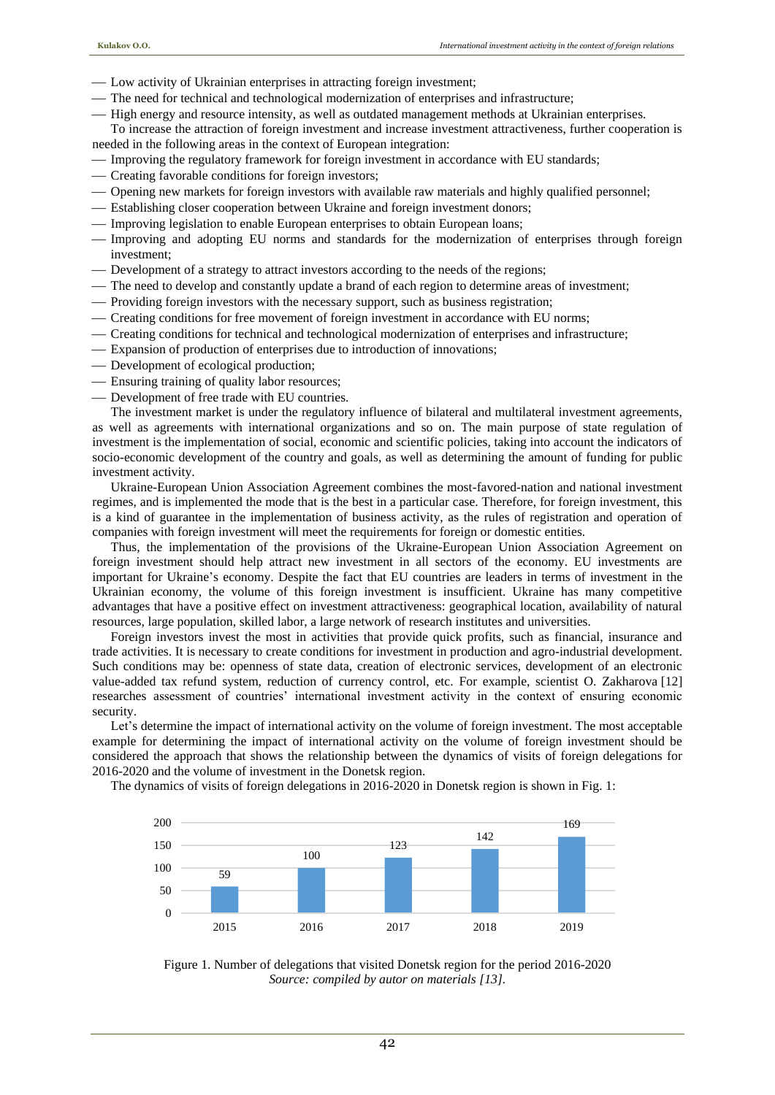- Low activity of Ukrainian enterprises in attracting foreign investment;
- The need for technical and technological modernization of enterprises and infrastructure;
- $-$  High energy and resource intensity, as well as outdated management methods at Ukrainian enterprises. To increase the attraction of foreign investment and increase investment attractiveness, further cooperation is

needed in the following areas in the context of European integration:

- Improving the regulatory framework for foreign investment in accordance with EU standards;
- Creating favorable conditions for foreign investors;
- Opening new markets for foreign investors with available raw materials and highly qualified personnel;
- Establishing closer cooperation between Ukraine and foreign investment donors;
- Improving legislation to enable European enterprises to obtain European loans;
- Improving and adopting EU norms and standards for the modernization of enterprises through foreign investment;
- Development of a strategy to attract investors according to the needs of the regions;
- The need to develop and constantly update a brand of each region to determine areas of investment;
- Providing foreign investors with the necessary support, such as business registration;
- Creating conditions for free movement of foreign investment in accordance with EU norms;
- Creating conditions for technical and technological modernization of enterprises and infrastructure;
- Expansion of production of enterprises due to introduction of innovations;
- Development of ecological production;
- Ensuring training of quality labor resources;
- Development of free trade with EU countries.

The investment market is under the regulatory influence of bilateral and multilateral investment agreements, as well as agreements with international organizations and so on. The main purpose of state regulation of investment is the implementation of social, economic and scientific policies, taking into account the indicators of socio-economic development of the country and goals, as well as determining the amount of funding for public investment activity.

Ukraine-European Union Association Agreement combines the most-favored-nation and national investment regimes, and is implemented the mode that is the best in a particular case. Therefore, for foreign investment, this is a kind of guarantee in the implementation of business activity, as the rules of registration and operation of companies with foreign investment will meet the requirements for foreign or domestic entities.

Thus, the implementation of the provisions of the Ukraine-European Union Association Agreement on foreign investment should help attract new investment in all sectors of the economy. EU investments are important for Ukraine's economy. Despite the fact that EU countries are leaders in terms of investment in the Ukrainian economy, the volume of this foreign investment is insufficient. Ukraine has many competitive advantages that have a positive effect on investment attractiveness: geographical location, availability of natural resources, large population, skilled labor, a large network of research institutes and universities.

Foreign investors invest the most in activities that provide quick profits, such as financial, insurance and trade activities. It is necessary to create conditions for investment in production and agro-industrial development. Such conditions may be: openness of state data, creation of electronic services, development of an electronic value-added tax refund system, reduction of currency control, etc. For example, scientist O. Zakharova [12] researches assessment of countries' international investment activity in the context of ensuring economic security.

Let's determine the impact of international activity on the volume of foreign investment. The most acceptable example for determining the impact of international activity on the volume of foreign investment should be considered the approach that shows the relationship between the dynamics of visits of foreign delegations for 2016-2020 and the volume of investment in the Donetsk region.

The dynamics of visits of foreign delegations in 2016-2020 in Donetsk region is shown in Fig. 1:



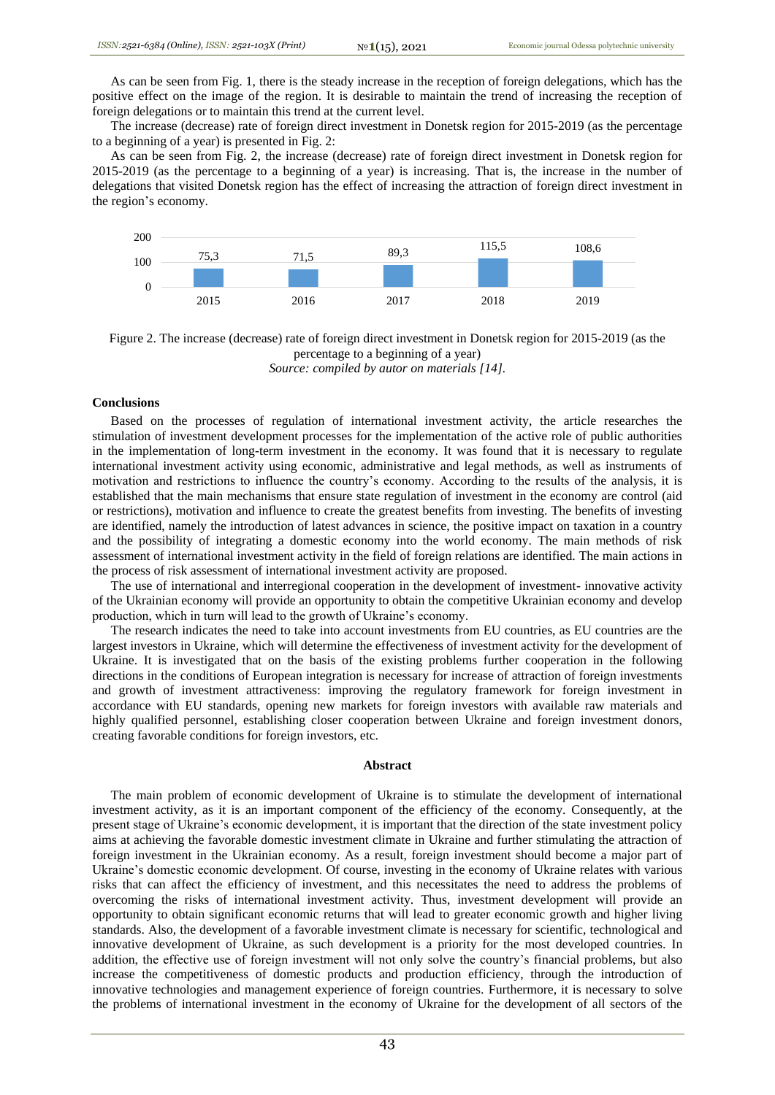As can be seen from Fig. 1, there is the steady increase in the reception of foreign delegations, which has the positive effect on the image of the region. It is desirable to maintain the trend of increasing the reception of foreign delegations or to maintain this trend at the current level.

The increase (decrease) rate of foreign direct investment in Donetsk region for 2015-2019 (as the percentage to a beginning of a year) is presented in Fig. 2:

As can be seen from Fig. 2, the increase (decrease) rate of foreign direct investment in Donetsk region for 2015-2019 (as the percentage to a beginning of a year) is increasing. That is, the increase in the number of delegations that visited Donetsk region has the effect of increasing the attraction of foreign direct investment in the region's economy.



Figure 2. The increase (decrease) rate of foreign direct investment in Donetsk region for 2015-2019 (as the percentage to a beginning of a year)

*Source: compiled by autor on materials [14].*

### **Conclusions**

Based on the processes of regulation of international investment activity, the article researches the stimulation of investment development processes for the implementation of the active role of public authorities in the implementation of long-term investment in the economy. It was found that it is necessary to regulate international investment activity using economic, administrative and legal methods, as well as instruments of motivation and restrictions to influence the country's economy. According to the results of the analysis, it is established that the main mechanisms that ensure state regulation of investment in the economy are control (aid or restrictions), motivation and influence to create the greatest benefits from investing. The benefits of investing are identified, namely the introduction of latest advances in science, the positive impact on taxation in a country and the possibility of integrating a domestic economy into the world economy. The main methods of risk assessment of international investment activity in the field of foreign relations are identified. The main actions in the process of risk assessment of international investment activity are proposed.

The use of international and interregional cooperation in the development of investment- innovative activity of the Ukrainian economy will provide an opportunity to obtain the competitive Ukrainian economy and develop production, which in turn will lead to the growth of Ukraine's economy.

The research indicates the need to take into account investments from EU countries, as EU countries are the largest investors in Ukraine, which will determine the effectiveness of investment activity for the development of Ukraine. It is investigated that on the basis of the existing problems further cooperation in the following directions in the conditions of European integration is necessary for increase of attraction of foreign investments and growth of investment attractiveness: improving the regulatory framework for foreign investment in accordance with EU standards, opening new markets for foreign investors with available raw materials and highly qualified personnel, establishing closer cooperation between Ukraine and foreign investment donors, creating favorable conditions for foreign investors, etc.

#### **Abstract**

The main problem of economic development of Ukraine is to stimulate the development of international investment activity, as it is an important component of the efficiency of the economy. Consequently, at the present stage of Ukraine's economic development, it is important that the direction of the state investment policy aims at achieving the favorable domestic investment climate in Ukraine and further stimulating the attraction of foreign investment in the Ukrainian economy. As a result, foreign investment should become a major part of Ukraine's domestic economic development. Of course, investing in the economy of Ukraine relates with various risks that can affect the efficiency of investment, and this necessitates the need to address the problems of overcoming the risks of international investment activity. Thus, investment development will provide an opportunity to obtain significant economic returns that will lead to greater economic growth and higher living standards. Also, the development of a favorable investment climate is necessary for scientific, technological and innovative development of Ukraine, as such development is a priority for the most developed countries. In addition, the effective use of foreign investment will not only solve the country's financial problems, but also increase the competitiveness of domestic products and production efficiency, through the introduction of innovative technologies and management experience of foreign countries. Furthermore, it is necessary to solve the problems of international investment in the economy of Ukraine for the development of all sectors of the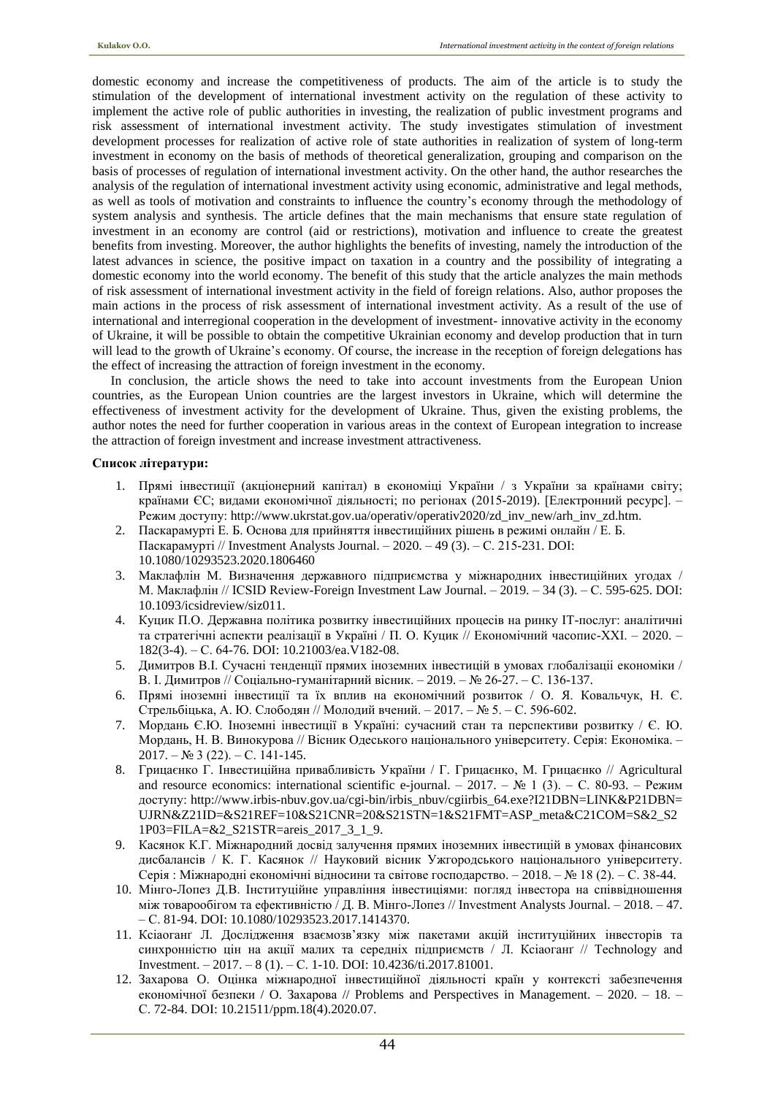domestic economy and increase the competitiveness of products. The aim of the article is to study the stimulation of the development of international investment activity on the regulation of these activity to implement the active role of public authorities in investing, the realization of public investment programs and risk assessment of international investment activity. The study investigates stimulation of investment development processes for realization of active role of state authorities in realization of system of long-term investment in economy on the basis of methods of theoretical generalization, grouping and comparison on the basis of processes of regulation of international investment activity. On the other hand, the author researches the analysis of the regulation of international investment activity using economic, administrative and legal methods, as well as tools of motivation and constraints to influence the country's economy through the methodology of system analysis and synthesis. The article defines that the main mechanisms that ensure state regulation of investment in an economy are control (aid or restrictions), motivation and influence to create the greatest benefits from investing. Moreover, the author highlights the benefits of investing, namely the introduction of the latest advances in science, the positive impact on taxation in a country and the possibility of integrating a domestic economy into the world economy. The benefit of this study that the article analyzes the main methods of risk assessment of international investment activity in the field of foreign relations. Also, author proposes the main actions in the process of risk assessment of international investment activity. As a result of the use of international and interregional cooperation in the development of investment- innovative activity in the economy of Ukraine, it will be possible to obtain the competitive Ukrainian economy and develop production that in turn will lead to the growth of Ukraine's economy. Of course, the increase in the reception of foreign delegations has the effect of increasing the attraction of foreign investment in the economy.

In conclusion, the article shows the need to take into account investments from the European Union countries, as the European Union countries are the largest investors in Ukraine, which will determine the effectiveness of investment activity for the development of Ukraine. Thus, given the existing problems, the author notes the need for further cooperation in various areas in the context of European integration to increase the attraction of foreign investment and increase investment attractiveness.

## **Список літератури:**

- 1. Прямі інвестиції (акціонерний капітал) в економіці України / з України за країнами світу; країнами ЄС; видами економічної діяльності; по регіонах (2015-2019). [Електронний ресурс]. – Режим доступу: http://www.ukrstat.gov.ua/operativ/operativ2020/zd\_inv\_new/arh\_inv\_zd.htm.
- 2. Паскарамурті Е. Б. Основа для прийняття інвестиційних рішень в режимі онлайн / Е. Б. Паскарамурті // Investment Analysts Journal. – 2020. – 49 (3). – С. 215-231. DOI: 10.1080/10293523.2020.1806460
- 3. Маклафлін М. Визначення державного підприємства у міжнародних інвестиційних угодах / М. Маклафлін // ICSID Review-Foreign Investment Law Journal. – 2019. – 34 (3). – С. 595-625. DOI: 10.1093/icsidreview/siz011.
- 4. Куцик П.О. Державна політика розвитку інвестиційних процесів на ринку ІТ-послуг: аналітичні та стратегічні аспекти реалізації в Україні / П. О. Куцик // Економічний часопис-ХХІ. – 2020. – 182(3-4). – С. 64-76. DOI: 10.21003/ea.V182-08.
- 5. Димитров В.І. Сучасні тенденції прямих іноземних інвестицій в умовах глобалізаціі економіки / В. І. Димитров // Соціально-гуманітарний вісник. – 2019. – № 26-27. – С. 136-137.
- 6. Прямі іноземні інвестиції та їх вплив на економічний розвиток / О. Я. Ковальчук, Н. Є. Стрельбіцька, А. Ю. Слободян // Молодий вчений. – 2017. – № 5. – С. 596-602.
- 7. Мордань Є.Ю. Іноземні інвестиції в Україні: сучасний стан та перспективи розвитку / Є. Ю. Мордань, Н. В. Винокурова // Вісник Одеського національного університету. Серія: Економіка. –  $2017. - N<sub>2</sub> 3(22) - C. 141-145.$
- 8. Грицаєнко Г. Інвестиційна привабливість України / Г. Грицаєнко, М. Грицаєнко // Agricultural and resource economics: international scientific e-journal. – 2017. –  $\mathbb{N}^{\circ}$  1 (3). – C. 80-93. – Режим доступу: http://www.irbis-nbuv.gov.ua/cgi-bin/irbis\_nbuv/cgiirbis\_64.exe?I21DBN=LINK&P21DBN= UJRN&Z21ID=&S21REF=10&S21CNR=20&S21STN=1&S21FMT=ASP\_meta&C21COM=S&2\_S2 1P03=FILA=&2\_S21STR=areis\_2017\_3\_1\_9.
- 9. Касянок К.Г. Міжнародний досвід залучення прямих іноземних інвестицій в умовах фінансових дисбалансів / К. Г. Касянок // Науковий вісник Ужгородського національного університету. Серія : Міжнародні економічні відносини та світове господарство. – 2018. – № 18 (2). – С. 38-44.
- 10. Мінго-Лопез Д.В. Інституційне управління інвестиціями: погляд інвестора на співвідношення між товарообігом та ефективністю / Д. В. Мінго-Лопез // Investment Analysts Journal. – 2018. – 47. – С. 81-94. DOI: 10.1080/10293523.2017.1414370.
- 11. Ксіаоганґ Л. Дослідження взаємозв'язку між пакетами акцій інституційних інвесторів та синхронністю цін на акції малих та середніх підприємств / Л. Ксіаоганґ // Technology and Investment. – 2017. – 8 (1). – С. 1-10. DOI: 10.4236/ti.2017.81001.
- 12. Захарова O. Оцінка міжнародної інвестиційної діяльності країн у контексті забезпечення економічної безпеки / O. Захарова // Problems and Perspectives in Management. – 2020. – 18. – С. 72-84. DOI: 10.21511/ppm.18(4).2020.07.